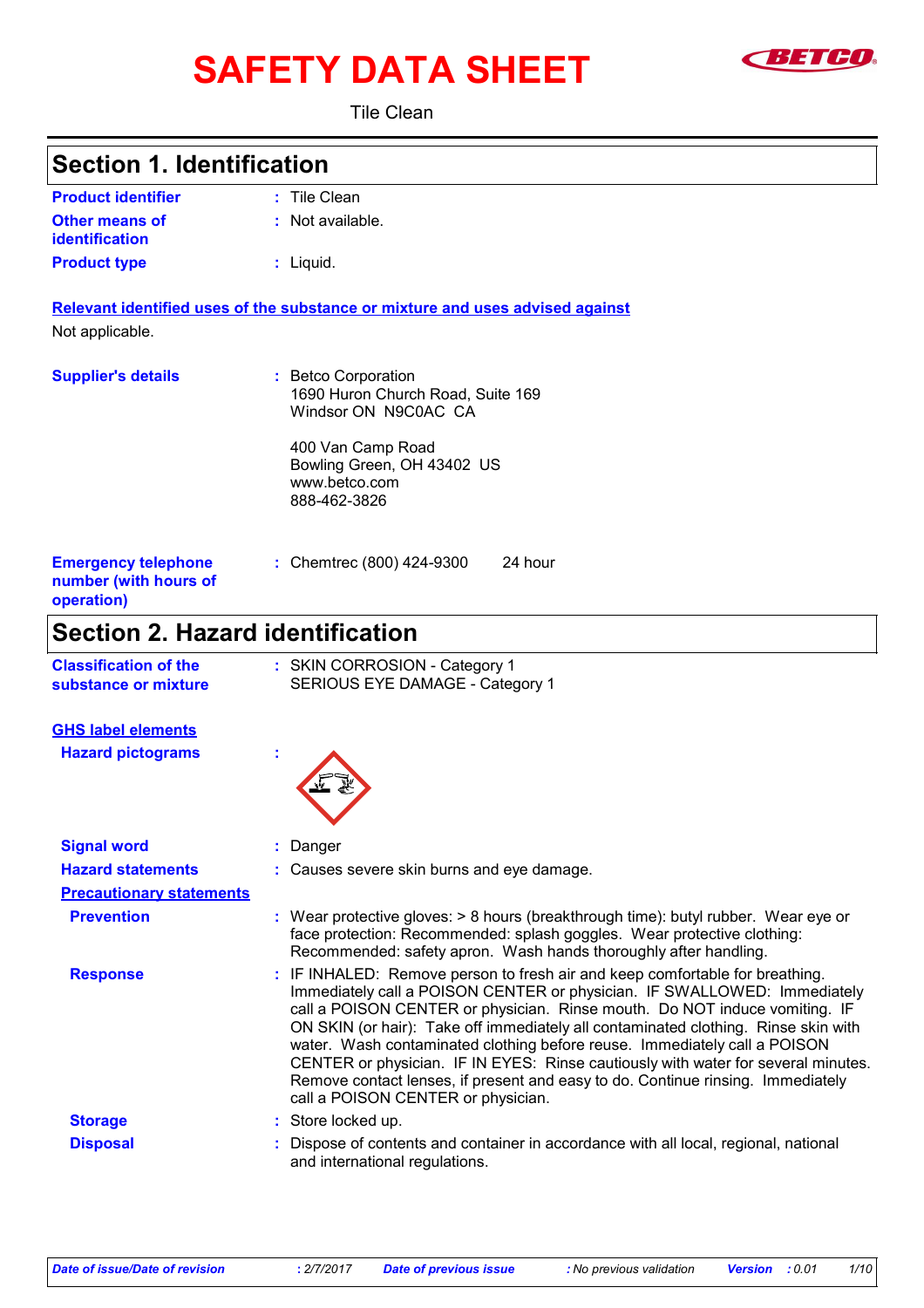# SAFETY DATA SHEET **SAFET**



Tile Clean

| <b>Section 1. Identification</b>                                  |                                                                                                                                                                                                                                                                                                                                                                                                                                                                                                                                                                                                                         |
|-------------------------------------------------------------------|-------------------------------------------------------------------------------------------------------------------------------------------------------------------------------------------------------------------------------------------------------------------------------------------------------------------------------------------------------------------------------------------------------------------------------------------------------------------------------------------------------------------------------------------------------------------------------------------------------------------------|
| <b>Product identifier</b>                                         | : Tile Clean                                                                                                                                                                                                                                                                                                                                                                                                                                                                                                                                                                                                            |
| <b>Other means of</b><br><b>identification</b>                    | : Not available.                                                                                                                                                                                                                                                                                                                                                                                                                                                                                                                                                                                                        |
| <b>Product type</b>                                               | $:$ Liquid.                                                                                                                                                                                                                                                                                                                                                                                                                                                                                                                                                                                                             |
| Not applicable.                                                   | Relevant identified uses of the substance or mixture and uses advised against                                                                                                                                                                                                                                                                                                                                                                                                                                                                                                                                           |
| <b>Supplier's details</b>                                         | : Betco Corporation<br>1690 Huron Church Road, Suite 169<br>Windsor ON N9C0AC CA                                                                                                                                                                                                                                                                                                                                                                                                                                                                                                                                        |
|                                                                   | 400 Van Camp Road<br>Bowling Green, OH 43402 US<br>www.betco.com<br>888-462-3826                                                                                                                                                                                                                                                                                                                                                                                                                                                                                                                                        |
| <b>Emergency telephone</b><br>number (with hours of<br>operation) | 24 hour<br>: Chemtrec (800) 424-9300                                                                                                                                                                                                                                                                                                                                                                                                                                                                                                                                                                                    |
| <b>Section 2. Hazard identification</b>                           |                                                                                                                                                                                                                                                                                                                                                                                                                                                                                                                                                                                                                         |
| <b>Classification of the</b><br>substance or mixture              | : SKIN CORROSION - Category 1<br>SERIOUS EYE DAMAGE - Category 1                                                                                                                                                                                                                                                                                                                                                                                                                                                                                                                                                        |
| <b>GHS label elements</b>                                         |                                                                                                                                                                                                                                                                                                                                                                                                                                                                                                                                                                                                                         |
| <b>Hazard pictograms</b>                                          |                                                                                                                                                                                                                                                                                                                                                                                                                                                                                                                                                                                                                         |
| <b>Signal word</b>                                                | : Danger                                                                                                                                                                                                                                                                                                                                                                                                                                                                                                                                                                                                                |
| <b>Hazard statements</b>                                          | : Causes severe skin burns and eye damage.                                                                                                                                                                                                                                                                                                                                                                                                                                                                                                                                                                              |
| <b>Precautionary statements</b>                                   |                                                                                                                                                                                                                                                                                                                                                                                                                                                                                                                                                                                                                         |
| <b>Prevention</b>                                                 | : Wear protective gloves: > 8 hours (breakthrough time): butyl rubber. Wear eye or<br>face protection: Recommended: splash goggles. Wear protective clothing:<br>Recommended: safety apron. Wash hands thoroughly after handling.                                                                                                                                                                                                                                                                                                                                                                                       |
| <b>Response</b>                                                   | : IF INHALED: Remove person to fresh air and keep comfortable for breathing.<br>Immediately call a POISON CENTER or physician. IF SWALLOWED: Immediately<br>call a POISON CENTER or physician. Rinse mouth. Do NOT induce vomiting. IF<br>ON SKIN (or hair): Take off immediately all contaminated clothing. Rinse skin with<br>water. Wash contaminated clothing before reuse. Immediately call a POISON<br>CENTER or physician. IF IN EYES: Rinse cautiously with water for several minutes.<br>Remove contact lenses, if present and easy to do. Continue rinsing. Immediately<br>call a POISON CENTER or physician. |
| <b>Storage</b>                                                    | : Store locked up.                                                                                                                                                                                                                                                                                                                                                                                                                                                                                                                                                                                                      |
| <b>Disposal</b>                                                   | : Dispose of contents and container in accordance with all local, regional, national<br>and international regulations.                                                                                                                                                                                                                                                                                                                                                                                                                                                                                                  |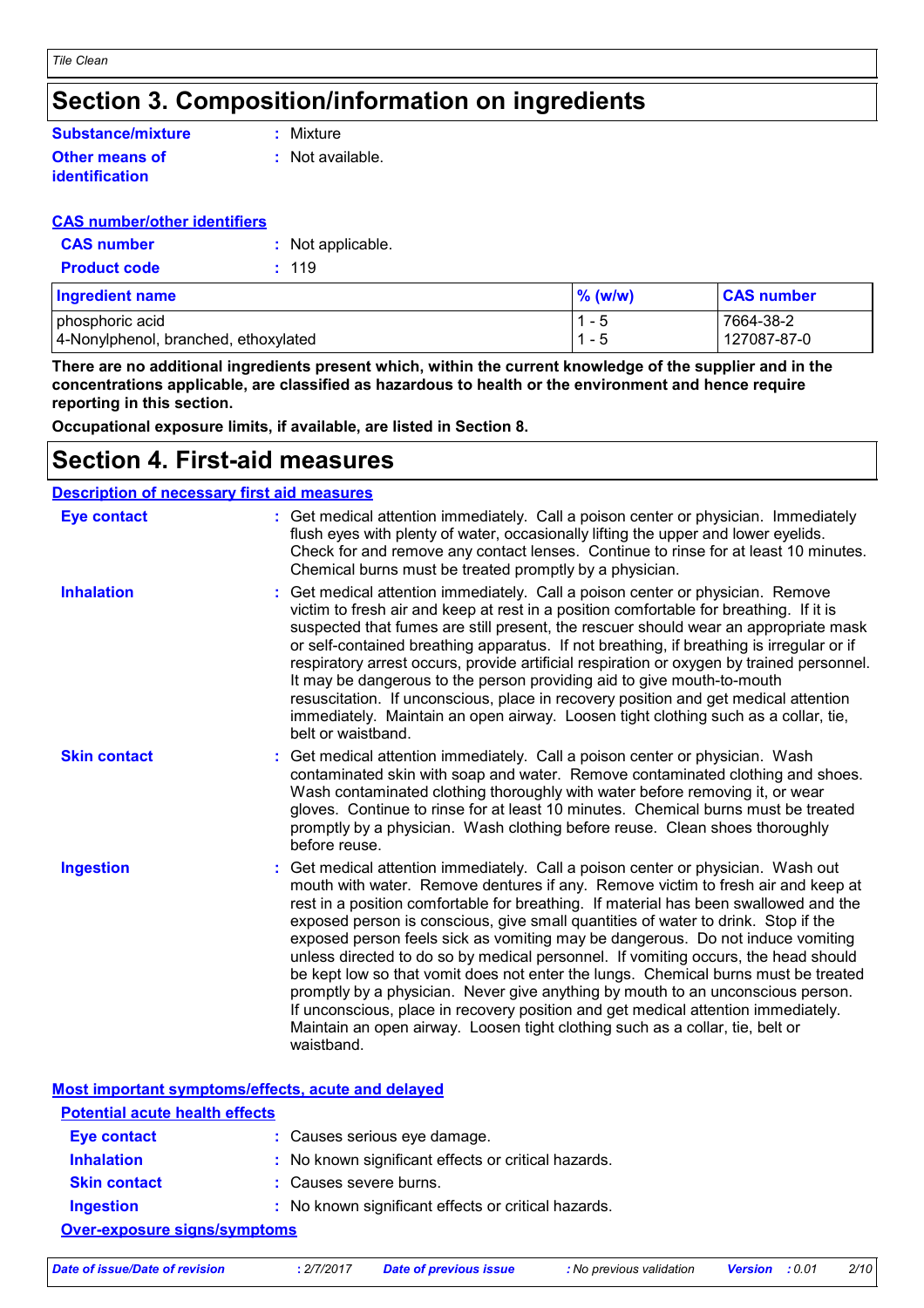### **Section 3. Composition/information on ingredients**

#### **Other means of identification Substance/mixture**

**:** Mixture

**:** Not available.

#### **CAS number/other identifiers**

| <b>CAS number</b>   | : Not applicable. |
|---------------------|-------------------|
| <b>Product code</b> | : 119             |

| <b>Ingredient name</b>               | $\%$ (w/w) | <b>CAS number</b> |
|--------------------------------------|------------|-------------------|
| phosphoric acid                      | - 5        | 7664-38-2         |
| 4-Nonylphenol, branched, ethoxylated | - 5        | 127087-87-0       |

**There are no additional ingredients present which, within the current knowledge of the supplier and in the concentrations applicable, are classified as hazardous to health or the environment and hence require reporting in this section.**

**Occupational exposure limits, if available, are listed in Section 8.**

#### **Section 4. First-aid measures**

| <b>Description of necessary first aid measures</b> |                                                                                                                                                                                                                                                                                                                                                                                                                                                                                                                                                                                                                                                                                                                                                                                                                                                                                      |
|----------------------------------------------------|--------------------------------------------------------------------------------------------------------------------------------------------------------------------------------------------------------------------------------------------------------------------------------------------------------------------------------------------------------------------------------------------------------------------------------------------------------------------------------------------------------------------------------------------------------------------------------------------------------------------------------------------------------------------------------------------------------------------------------------------------------------------------------------------------------------------------------------------------------------------------------------|
| <b>Eye contact</b>                                 | : Get medical attention immediately. Call a poison center or physician. Immediately<br>flush eyes with plenty of water, occasionally lifting the upper and lower eyelids.<br>Check for and remove any contact lenses. Continue to rinse for at least 10 minutes.<br>Chemical burns must be treated promptly by a physician.                                                                                                                                                                                                                                                                                                                                                                                                                                                                                                                                                          |
| <b>Inhalation</b>                                  | : Get medical attention immediately. Call a poison center or physician. Remove<br>victim to fresh air and keep at rest in a position comfortable for breathing. If it is<br>suspected that fumes are still present, the rescuer should wear an appropriate mask<br>or self-contained breathing apparatus. If not breathing, if breathing is irregular or if<br>respiratory arrest occurs, provide artificial respiration or oxygen by trained personnel.<br>It may be dangerous to the person providing aid to give mouth-to-mouth<br>resuscitation. If unconscious, place in recovery position and get medical attention<br>immediately. Maintain an open airway. Loosen tight clothing such as a collar, tie,<br>belt or waistband.                                                                                                                                                |
| <b>Skin contact</b>                                | Get medical attention immediately. Call a poison center or physician. Wash<br>contaminated skin with soap and water. Remove contaminated clothing and shoes.<br>Wash contaminated clothing thoroughly with water before removing it, or wear<br>gloves. Continue to rinse for at least 10 minutes. Chemical burns must be treated<br>promptly by a physician. Wash clothing before reuse. Clean shoes thoroughly<br>before reuse.                                                                                                                                                                                                                                                                                                                                                                                                                                                    |
| <b>Ingestion</b>                                   | Get medical attention immediately. Call a poison center or physician. Wash out<br>mouth with water. Remove dentures if any. Remove victim to fresh air and keep at<br>rest in a position comfortable for breathing. If material has been swallowed and the<br>exposed person is conscious, give small quantities of water to drink. Stop if the<br>exposed person feels sick as vomiting may be dangerous. Do not induce vomiting<br>unless directed to do so by medical personnel. If vomiting occurs, the head should<br>be kept low so that vomit does not enter the lungs. Chemical burns must be treated<br>promptly by a physician. Never give anything by mouth to an unconscious person.<br>If unconscious, place in recovery position and get medical attention immediately.<br>Maintain an open airway. Loosen tight clothing such as a collar, tie, belt or<br>waistband. |

|                                       | Most important symptoms/effects, acute and delayed  |  |
|---------------------------------------|-----------------------------------------------------|--|
| <b>Potential acute health effects</b> |                                                     |  |
| <b>Eye contact</b>                    | : Causes serious eye damage.                        |  |
| <b>Inhalation</b>                     | : No known significant effects or critical hazards. |  |
| <b>Skin contact</b>                   | : Causes severe burns.                              |  |
| <b>Ingestion</b>                      | : No known significant effects or critical hazards. |  |
| Over-exposure signs/symptoms          |                                                     |  |
|                                       |                                                     |  |

*Date of issue/Date of revision* **:** *2/7/2017 Date of previous issue : No previous validation Version : 0.01 2/10*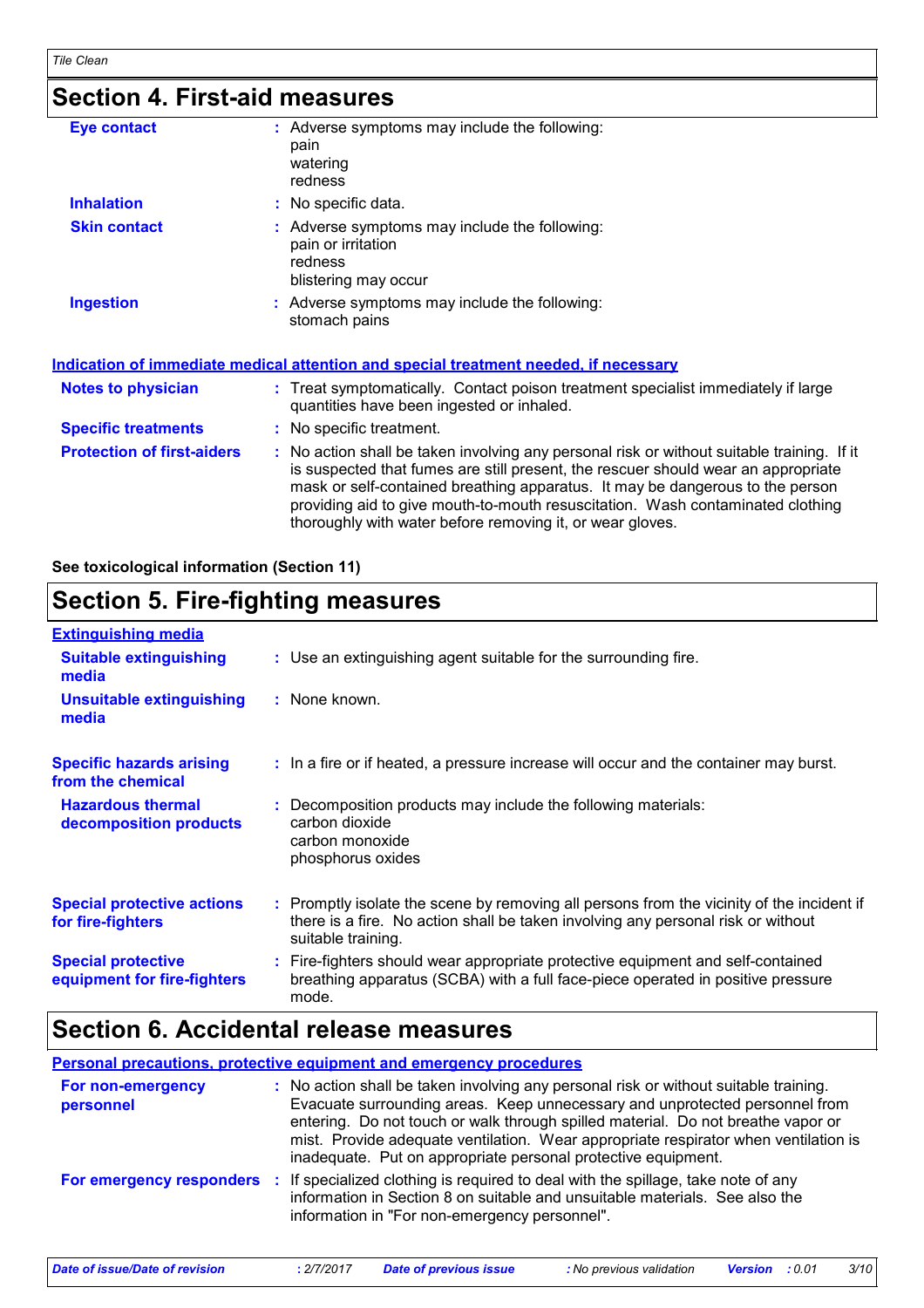### **Section 4. First-aid measures**

| Eye contact                       | : Adverse symptoms may include the following:<br>pain<br>watering<br>redness                                                                                                                                                                                                                                                                                                                                    |
|-----------------------------------|-----------------------------------------------------------------------------------------------------------------------------------------------------------------------------------------------------------------------------------------------------------------------------------------------------------------------------------------------------------------------------------------------------------------|
| <b>Inhalation</b>                 | : No specific data.                                                                                                                                                                                                                                                                                                                                                                                             |
| <b>Skin contact</b>               | : Adverse symptoms may include the following:<br>pain or irritation<br>redness<br>blistering may occur                                                                                                                                                                                                                                                                                                          |
| <b>Ingestion</b>                  | : Adverse symptoms may include the following:<br>stomach pains                                                                                                                                                                                                                                                                                                                                                  |
|                                   | Indication of immediate medical attention and special treatment needed, if necessary                                                                                                                                                                                                                                                                                                                            |
| <b>Notes to physician</b>         | : Treat symptomatically. Contact poison treatment specialist immediately if large<br>quantities have been ingested or inhaled.                                                                                                                                                                                                                                                                                  |
| <b>Specific treatments</b>        | : No specific treatment.                                                                                                                                                                                                                                                                                                                                                                                        |
| <b>Protection of first-aiders</b> | : No action shall be taken involving any personal risk or without suitable training. If it<br>is suspected that fumes are still present, the rescuer should wear an appropriate<br>mask or self-contained breathing apparatus. It may be dangerous to the person<br>providing aid to give mouth-to-mouth resuscitation. Wash contaminated clothing<br>thoroughly with water before removing it, or wear gloves. |

**See toxicological information (Section 11)**

### **Section 5. Fire-fighting measures**

| <b>Extinguishing media</b>                               |                                                                                                                                                                                                     |
|----------------------------------------------------------|-----------------------------------------------------------------------------------------------------------------------------------------------------------------------------------------------------|
| <b>Suitable extinguishing</b><br>media                   | : Use an extinguishing agent suitable for the surrounding fire.                                                                                                                                     |
| <b>Unsuitable extinguishing</b><br>media                 | : None known.                                                                                                                                                                                       |
| <b>Specific hazards arising</b><br>from the chemical     | : In a fire or if heated, a pressure increase will occur and the container may burst.                                                                                                               |
| <b>Hazardous thermal</b><br>decomposition products       | : Decomposition products may include the following materials:<br>carbon dioxide<br>carbon monoxide<br>phosphorus oxides                                                                             |
| <b>Special protective actions</b><br>for fire-fighters   | : Promptly isolate the scene by removing all persons from the vicinity of the incident if<br>there is a fire. No action shall be taken involving any personal risk or without<br>suitable training. |
| <b>Special protective</b><br>equipment for fire-fighters | : Fire-fighters should wear appropriate protective equipment and self-contained<br>breathing apparatus (SCBA) with a full face-piece operated in positive pressure<br>mode.                         |

#### **Section 6. Accidental release measures**

**Personal precautions, protective equipment and emergency procedures**

| For non-emergency<br>personnel |    | : No action shall be taken involving any personal risk or without suitable training.<br>Evacuate surrounding areas. Keep unnecessary and unprotected personnel from<br>entering. Do not touch or walk through spilled material. Do not breathe vapor or<br>mist. Provide adequate ventilation. Wear appropriate respirator when ventilation is<br>inadequate. Put on appropriate personal protective equipment. |
|--------------------------------|----|-----------------------------------------------------------------------------------------------------------------------------------------------------------------------------------------------------------------------------------------------------------------------------------------------------------------------------------------------------------------------------------------------------------------|
| For emergency responders       | ÷. | If specialized clothing is required to deal with the spillage, take note of any<br>information in Section 8 on suitable and unsuitable materials. See also the<br>information in "For non-emergency personnel".                                                                                                                                                                                                 |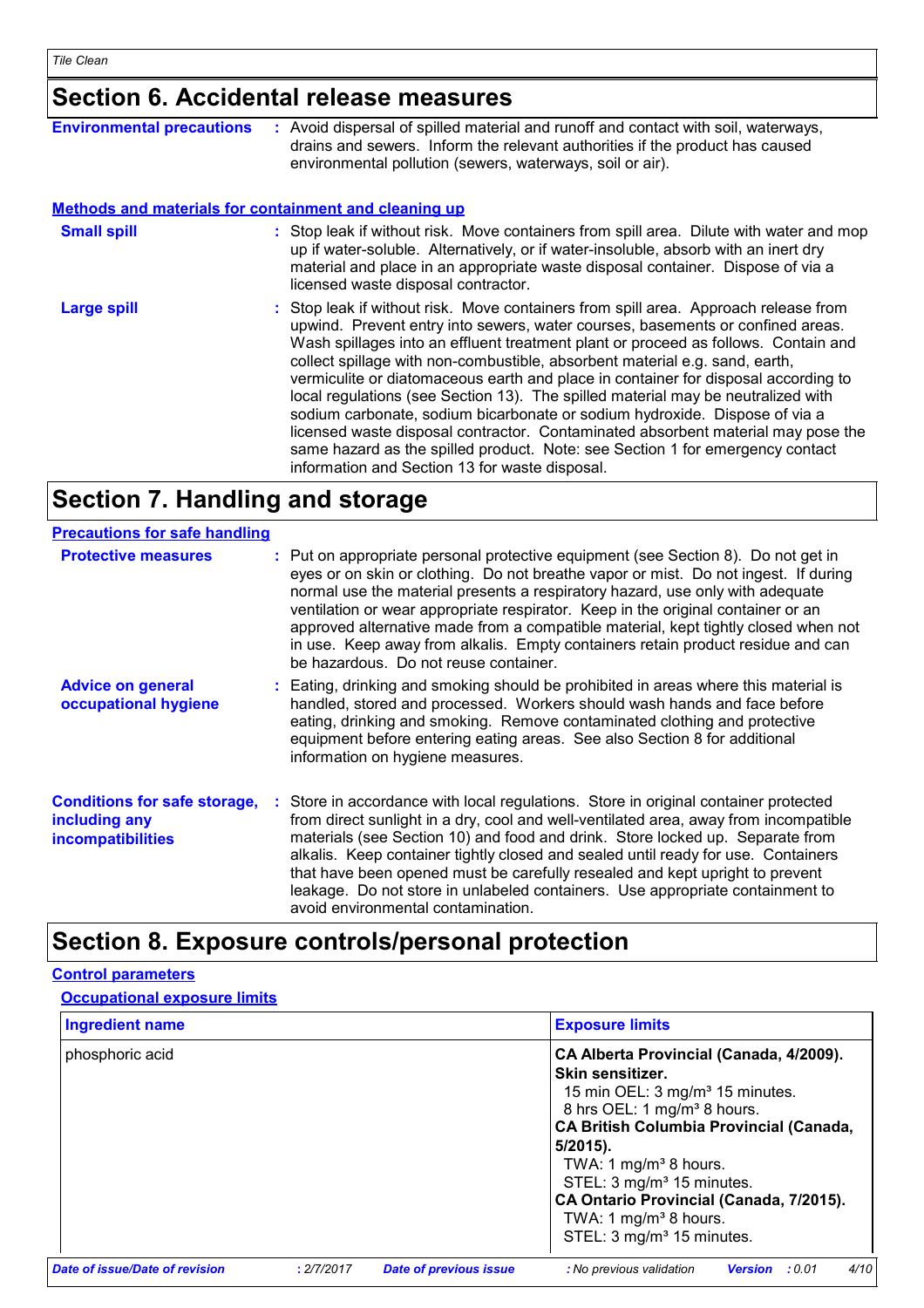### **Section 6. Accidental release measures**

| <b>Environmental precautions</b>                             | : Avoid dispersal of spilled material and runoff and contact with soil, waterways,<br>drains and sewers. Inform the relevant authorities if the product has caused<br>environmental pollution (sewers, waterways, soil or air).                                                                                                                                                                                                                                                                                                                                                                                                                                                                                                                                                                                           |
|--------------------------------------------------------------|---------------------------------------------------------------------------------------------------------------------------------------------------------------------------------------------------------------------------------------------------------------------------------------------------------------------------------------------------------------------------------------------------------------------------------------------------------------------------------------------------------------------------------------------------------------------------------------------------------------------------------------------------------------------------------------------------------------------------------------------------------------------------------------------------------------------------|
| <b>Methods and materials for containment and cleaning up</b> |                                                                                                                                                                                                                                                                                                                                                                                                                                                                                                                                                                                                                                                                                                                                                                                                                           |
| <b>Small spill</b>                                           | : Stop leak if without risk. Move containers from spill area. Dilute with water and mop<br>up if water-soluble. Alternatively, or if water-insoluble, absorb with an inert dry<br>material and place in an appropriate waste disposal container. Dispose of via a<br>licensed waste disposal contractor.                                                                                                                                                                                                                                                                                                                                                                                                                                                                                                                  |
| Large spill                                                  | : Stop leak if without risk. Move containers from spill area. Approach release from<br>upwind. Prevent entry into sewers, water courses, basements or confined areas.<br>Wash spillages into an effluent treatment plant or proceed as follows. Contain and<br>collect spillage with non-combustible, absorbent material e.g. sand, earth,<br>vermiculite or diatomaceous earth and place in container for disposal according to<br>local regulations (see Section 13). The spilled material may be neutralized with<br>sodium carbonate, sodium bicarbonate or sodium hydroxide. Dispose of via a<br>licensed waste disposal contractor. Contaminated absorbent material may pose the<br>same hazard as the spilled product. Note: see Section 1 for emergency contact<br>information and Section 13 for waste disposal. |

### **Section 7. Handling and storage**

| <b>Precautions for safe handling</b>                                             |                                                                                                                                                                                                                                                                                                                                                                                                                                                                                                                                                                 |
|----------------------------------------------------------------------------------|-----------------------------------------------------------------------------------------------------------------------------------------------------------------------------------------------------------------------------------------------------------------------------------------------------------------------------------------------------------------------------------------------------------------------------------------------------------------------------------------------------------------------------------------------------------------|
| <b>Protective measures</b>                                                       | : Put on appropriate personal protective equipment (see Section 8). Do not get in<br>eyes or on skin or clothing. Do not breathe vapor or mist. Do not ingest. If during<br>normal use the material presents a respiratory hazard, use only with adequate<br>ventilation or wear appropriate respirator. Keep in the original container or an<br>approved alternative made from a compatible material, kept tightly closed when not<br>in use. Keep away from alkalis. Empty containers retain product residue and can<br>be hazardous. Do not reuse container. |
| <b>Advice on general</b><br>occupational hygiene                                 | : Eating, drinking and smoking should be prohibited in areas where this material is<br>handled, stored and processed. Workers should wash hands and face before<br>eating, drinking and smoking. Remove contaminated clothing and protective<br>equipment before entering eating areas. See also Section 8 for additional<br>information on hygiene measures.                                                                                                                                                                                                   |
| <b>Conditions for safe storage,</b><br>including any<br><i>incompatibilities</i> | : Store in accordance with local regulations. Store in original container protected<br>from direct sunlight in a dry, cool and well-ventilated area, away from incompatible<br>materials (see Section 10) and food and drink. Store locked up. Separate from<br>alkalis. Keep container tightly closed and sealed until ready for use. Containers<br>that have been opened must be carefully resealed and kept upright to prevent<br>leakage. Do not store in unlabeled containers. Use appropriate containment to<br>avoid environmental contamination.        |

#### **Section 8. Exposure controls/personal protection**

#### phosphoric acid **CA Alberta Provincial (Canada, 4/2009). Skin sensitizer.**  15 min OEL: 3 mg/m<sup>3</sup> 15 minutes. 8 hrs OEL: 1 mg/m<sup>3</sup> 8 hours. **CA British Columbia Provincial (Canada, 5/2015).** TWA: 1 mg/m $3$  8 hours. STEL: 3 mg/m<sup>3</sup> 15 minutes. **CA Ontario Provincial (Canada, 7/2015).** TWA: 1 mg/m $3$  8 hours. STEL: 3 mg/m<sup>3</sup> 15 minutes. **Ingredient name Exposure limits Exposure limits Control parameters Occupational exposure limits** *Date of issue/Date of revision* **:** *2/7/2017 Date of previous issue : No previous validation Version : 0.01 4/10*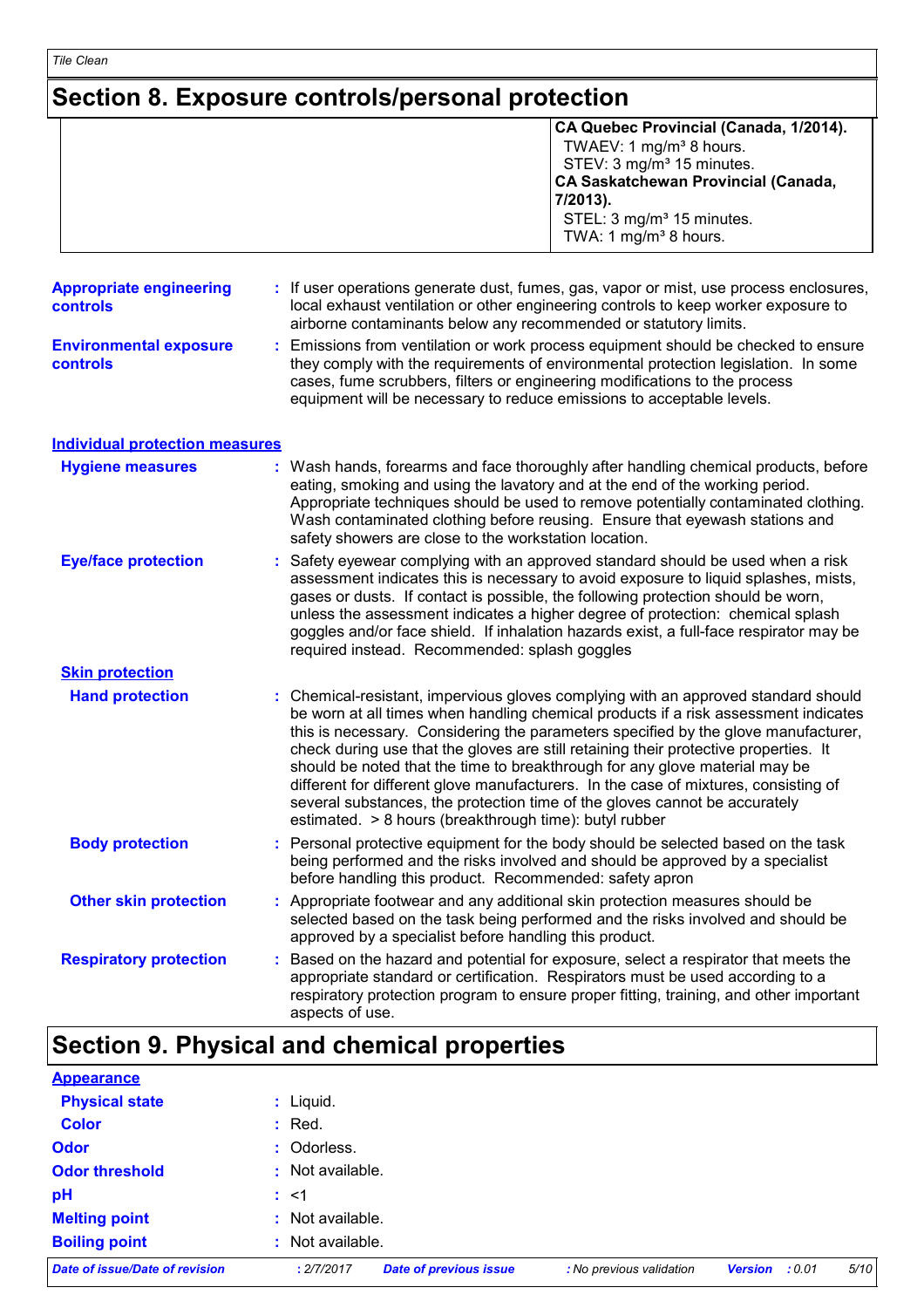## **Section 8. Exposure controls/personal protection**

|                                                   | CA Quebec Provincial (Canada, 1/2014).<br>TWAEV: 1 mg/m <sup>3</sup> 8 hours.<br>STEV: 3 mg/m <sup>3</sup> 15 minutes.<br><b>CA Saskatchewan Provincial (Canada,</b><br>7/2013).<br>STEL: 3 mg/m <sup>3</sup> 15 minutes.<br>TWA: 1 mg/m <sup>3</sup> 8 hours.                                                                                                                                                                                                                                                                                                                                                                                                        |  |
|---------------------------------------------------|-----------------------------------------------------------------------------------------------------------------------------------------------------------------------------------------------------------------------------------------------------------------------------------------------------------------------------------------------------------------------------------------------------------------------------------------------------------------------------------------------------------------------------------------------------------------------------------------------------------------------------------------------------------------------|--|
| <b>Appropriate engineering</b><br><b>controls</b> | If user operations generate dust, fumes, gas, vapor or mist, use process enclosures,<br>local exhaust ventilation or other engineering controls to keep worker exposure to<br>airborne contaminants below any recommended or statutory limits.                                                                                                                                                                                                                                                                                                                                                                                                                        |  |
| <b>Environmental exposure</b><br>controls         | : Emissions from ventilation or work process equipment should be checked to ensure<br>they comply with the requirements of environmental protection legislation. In some<br>cases, fume scrubbers, filters or engineering modifications to the process<br>equipment will be necessary to reduce emissions to acceptable levels.                                                                                                                                                                                                                                                                                                                                       |  |
| <b>Individual protection measures</b>             |                                                                                                                                                                                                                                                                                                                                                                                                                                                                                                                                                                                                                                                                       |  |
| <b>Hygiene measures</b>                           | : Wash hands, forearms and face thoroughly after handling chemical products, before<br>eating, smoking and using the lavatory and at the end of the working period.<br>Appropriate techniques should be used to remove potentially contaminated clothing.<br>Wash contaminated clothing before reusing. Ensure that eyewash stations and<br>safety showers are close to the workstation location.                                                                                                                                                                                                                                                                     |  |
| <b>Eye/face protection</b>                        | Safety eyewear complying with an approved standard should be used when a risk<br>assessment indicates this is necessary to avoid exposure to liquid splashes, mists,<br>gases or dusts. If contact is possible, the following protection should be worn,<br>unless the assessment indicates a higher degree of protection: chemical splash<br>goggles and/or face shield. If inhalation hazards exist, a full-face respirator may be<br>required instead. Recommended: splash goggles                                                                                                                                                                                 |  |
| <b>Skin protection</b>                            |                                                                                                                                                                                                                                                                                                                                                                                                                                                                                                                                                                                                                                                                       |  |
| <b>Hand protection</b>                            | : Chemical-resistant, impervious gloves complying with an approved standard should<br>be worn at all times when handling chemical products if a risk assessment indicates<br>this is necessary. Considering the parameters specified by the glove manufacturer,<br>check during use that the gloves are still retaining their protective properties. It<br>should be noted that the time to breakthrough for any glove material may be<br>different for different glove manufacturers. In the case of mixtures, consisting of<br>several substances, the protection time of the gloves cannot be accurately<br>estimated. > 8 hours (breakthrough time): butyl rubber |  |
| <b>Body protection</b>                            | : Personal protective equipment for the body should be selected based on the task<br>being performed and the risks involved and should be approved by a specialist<br>before handling this product. Recommended: safety apron                                                                                                                                                                                                                                                                                                                                                                                                                                         |  |
| <b>Other skin protection</b>                      | : Appropriate footwear and any additional skin protection measures should be<br>selected based on the task being performed and the risks involved and should be<br>approved by a specialist before handling this product.                                                                                                                                                                                                                                                                                                                                                                                                                                             |  |
| <b>Respiratory protection</b>                     | Based on the hazard and potential for exposure, select a respirator that meets the<br>appropriate standard or certification. Respirators must be used according to a<br>respiratory protection program to ensure proper fitting, training, and other important<br>aspects of use.                                                                                                                                                                                                                                                                                                                                                                                     |  |
|                                                   | Section 9. Physical and chemical properties                                                                                                                                                                                                                                                                                                                                                                                                                                                                                                                                                                                                                           |  |
| <b>Appearance</b>                                 |                                                                                                                                                                                                                                                                                                                                                                                                                                                                                                                                                                                                                                                                       |  |
| <b>Physical state</b>                             | : Liquid.                                                                                                                                                                                                                                                                                                                                                                                                                                                                                                                                                                                                                                                             |  |

| <b>Date of issue/Date of revision</b> | <b>Date of previous issue</b><br>: 2/7/2017 | : No previous validation | <b>Version</b><br>: 0.01 | 5/10 |
|---------------------------------------|---------------------------------------------|--------------------------|--------------------------|------|
| <b>Boiling point</b>                  | Not available.                              |                          |                          |      |
| <b>Melting point</b>                  | : Not available.                            |                          |                          |      |
| pH                                    | : <1                                        |                          |                          |      |
| <b>Odor threshold</b>                 | : Not available.                            |                          |                          |      |
| <b>Odor</b>                           | : Odorless.                                 |                          |                          |      |
| <b>Color</b>                          | $:$ Red.                                    |                          |                          |      |
|                                       |                                             |                          |                          |      |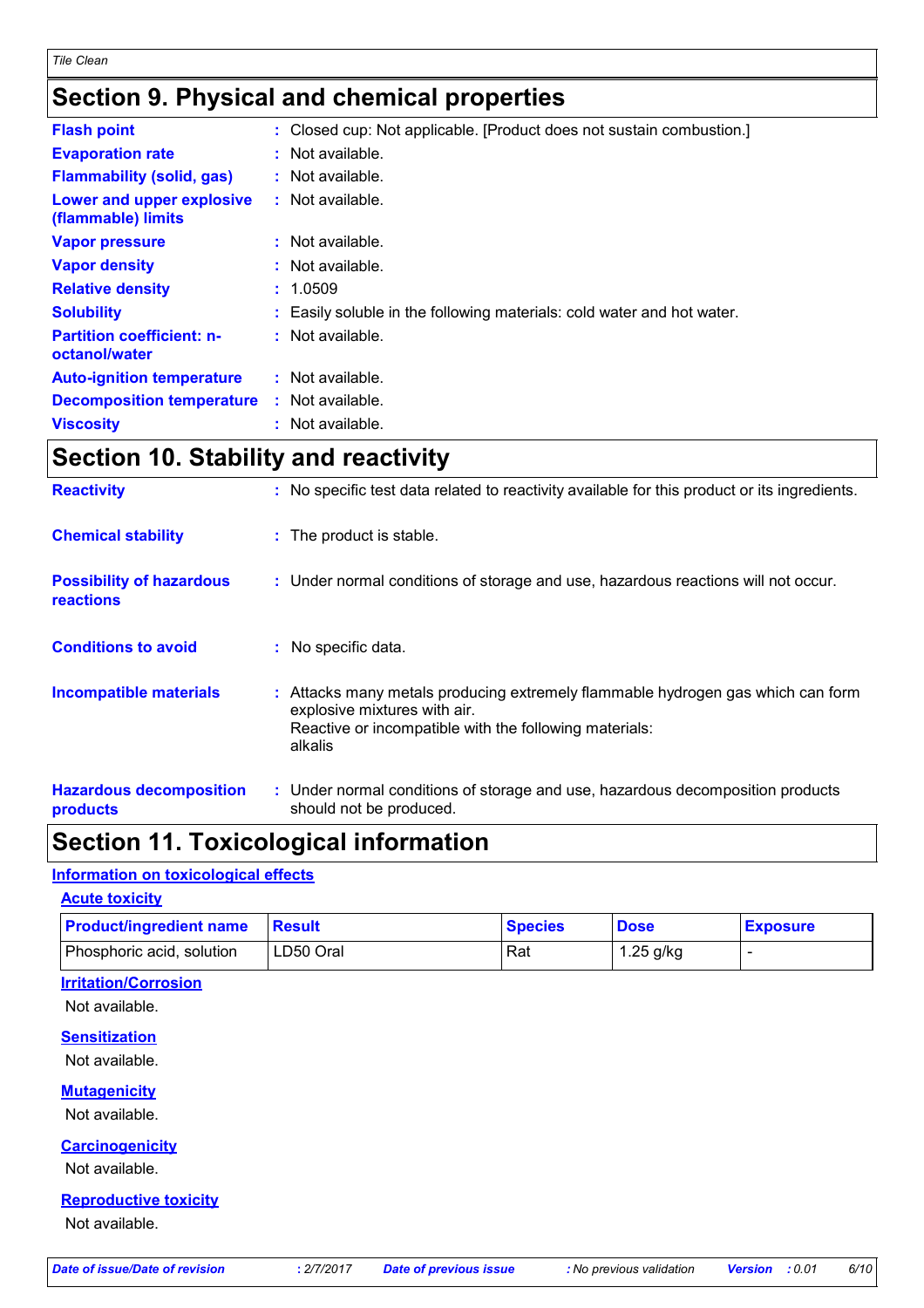### **Section 9. Physical and chemical properties**

| <b>Flash point</b>                                | : Closed cup: Not applicable. [Product does not sustain combustion.]   |
|---------------------------------------------------|------------------------------------------------------------------------|
| <b>Evaporation rate</b>                           | : Not available.                                                       |
| <b>Flammability (solid, gas)</b>                  | $:$ Not available.                                                     |
| Lower and upper explosive<br>(flammable) limits   | : Not available.                                                       |
| <b>Vapor pressure</b>                             | : Not available.                                                       |
| <b>Vapor density</b>                              | : Not available.                                                       |
| <b>Relative density</b>                           | : 1.0509                                                               |
| <b>Solubility</b>                                 | : Easily soluble in the following materials: cold water and hot water. |
| <b>Partition coefficient: n-</b><br>octanol/water | : Not available.                                                       |
| <b>Auto-ignition temperature</b>                  | : Not available.                                                       |
| <b>Decomposition temperature</b>                  | $:$ Not available.                                                     |
| <b>Viscosity</b>                                  | : Not available.                                                       |

### **Section 10. Stability and reactivity**

| <b>Reactivity</b>                                   | : No specific test data related to reactivity available for this product or its ingredients.                                                                                         |
|-----------------------------------------------------|--------------------------------------------------------------------------------------------------------------------------------------------------------------------------------------|
| <b>Chemical stability</b>                           | : The product is stable.                                                                                                                                                             |
| <b>Possibility of hazardous</b><br><b>reactions</b> | : Under normal conditions of storage and use, hazardous reactions will not occur.                                                                                                    |
| <b>Conditions to avoid</b>                          | : No specific data.                                                                                                                                                                  |
| <b>Incompatible materials</b>                       | : Attacks many metals producing extremely flammable hydrogen gas which can form<br>explosive mixtures with air.<br>Reactive or incompatible with the following materials:<br>alkalis |
| <b>Hazardous decomposition</b><br>products          | : Under normal conditions of storage and use, hazardous decomposition products<br>should not be produced.                                                                            |

### **Section 11. Toxicological information**

#### **Information on toxicological effects**

| <b>Product/ingredient name</b> | <b>Result</b> | <b>Species</b> | <b>Dose</b> | <b>Exposure</b>          |
|--------------------------------|---------------|----------------|-------------|--------------------------|
| Phosphoric acid, solution      | LD50 Oral     | Rat            | 1.25 g/kg   | $\overline{\phantom{0}}$ |
| <b>Irritation/Corrosion</b>    |               |                |             |                          |
| Not available.                 |               |                |             |                          |
| <b>Sensitization</b>           |               |                |             |                          |
| Not available.                 |               |                |             |                          |
| <b>Mutagenicity</b>            |               |                |             |                          |
| Not available.                 |               |                |             |                          |
| <b>Carcinogenicity</b>         |               |                |             |                          |
| Not available.                 |               |                |             |                          |
| <b>Reproductive toxicity</b>   |               |                |             |                          |
| Not available.                 |               |                |             |                          |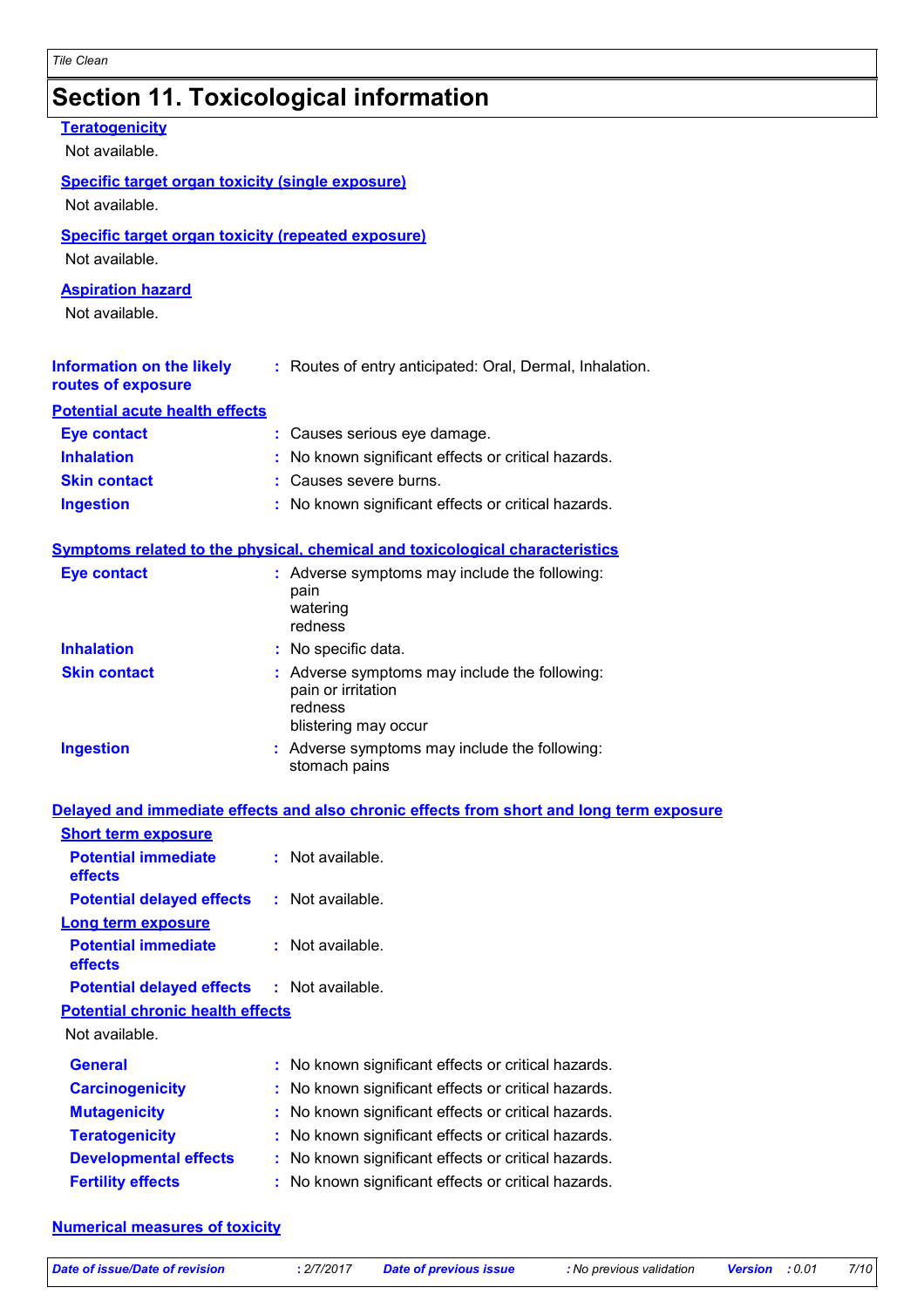### **Section 11. Toxicological information**

| <b>Teratogenicity</b><br>Not available.                                     |                                                                                                        |
|-----------------------------------------------------------------------------|--------------------------------------------------------------------------------------------------------|
| <b>Specific target organ toxicity (single exposure)</b>                     |                                                                                                        |
| Not available.                                                              |                                                                                                        |
| <b>Specific target organ toxicity (repeated exposure)</b><br>Not available. |                                                                                                        |
| <b>Aspiration hazard</b>                                                    |                                                                                                        |
| Not available.                                                              |                                                                                                        |
| <b>Information on the likely</b><br>routes of exposure                      | : Routes of entry anticipated: Oral, Dermal, Inhalation.                                               |
| <b>Potential acute health effects</b>                                       |                                                                                                        |
| <b>Eye contact</b>                                                          | : Causes serious eye damage.                                                                           |
| <b>Inhalation</b>                                                           | : No known significant effects or critical hazards.                                                    |
| <b>Skin contact</b>                                                         | : Causes severe burns.                                                                                 |
| <b>Ingestion</b>                                                            | : No known significant effects or critical hazards.                                                    |
|                                                                             | Symptoms related to the physical, chemical and toxicological characteristics                           |
| <b>Eye contact</b>                                                          | : Adverse symptoms may include the following:<br>pain<br>watering<br>redness                           |
| <b>Inhalation</b>                                                           | : No specific data.                                                                                    |
| <b>Skin contact</b>                                                         | : Adverse symptoms may include the following:<br>pain or irritation<br>redness<br>blistering may occur |
| <b>Ingestion</b>                                                            | : Adverse symptoms may include the following:<br>stomach pains                                         |
|                                                                             | Delayed and immediate effects and also chronic effects from short and long term exposure               |
| <b>Short term exposure</b>                                                  |                                                                                                        |
| <b>Potential immediate</b><br>effects                                       | : Not available.                                                                                       |
| <b>Potential delayed effects</b>                                            | : Not available.                                                                                       |
| <b>Long term exposure</b>                                                   |                                                                                                        |
| <b>Potential immediate</b><br>effects                                       | : Not available.                                                                                       |
| <b>Potential delayed effects</b>                                            | : Not available.                                                                                       |
| <b>Potential chronic health effects</b><br>Not available.                   |                                                                                                        |
| <b>General</b>                                                              | : No known significant effects or critical hazards.                                                    |
| <b>Carcinogenicity</b>                                                      | : No known significant effects or critical hazards.                                                    |
|                                                                             |                                                                                                        |

| <b>VAIVINGUINGITY</b>        | . TWO MIDWIT SIGHTHOUTH CHUUCUS OF UHTIGUI HUZULUS. |
|------------------------------|-----------------------------------------------------|
| <b>Mutagenicity</b>          | : No known significant effects or critical hazards. |
| <b>Teratogenicity</b>        | : No known significant effects or critical hazards. |
| <b>Developmental effects</b> | : No known significant effects or critical hazards. |
| <b>Fertility effects</b>     | : No known significant effects or critical hazards. |

#### **Numerical measures of toxicity**

*Date of issue/Date of revision* **:** *2/7/2017 Date of previous issue : No previous validation Version : 0.01 7/10*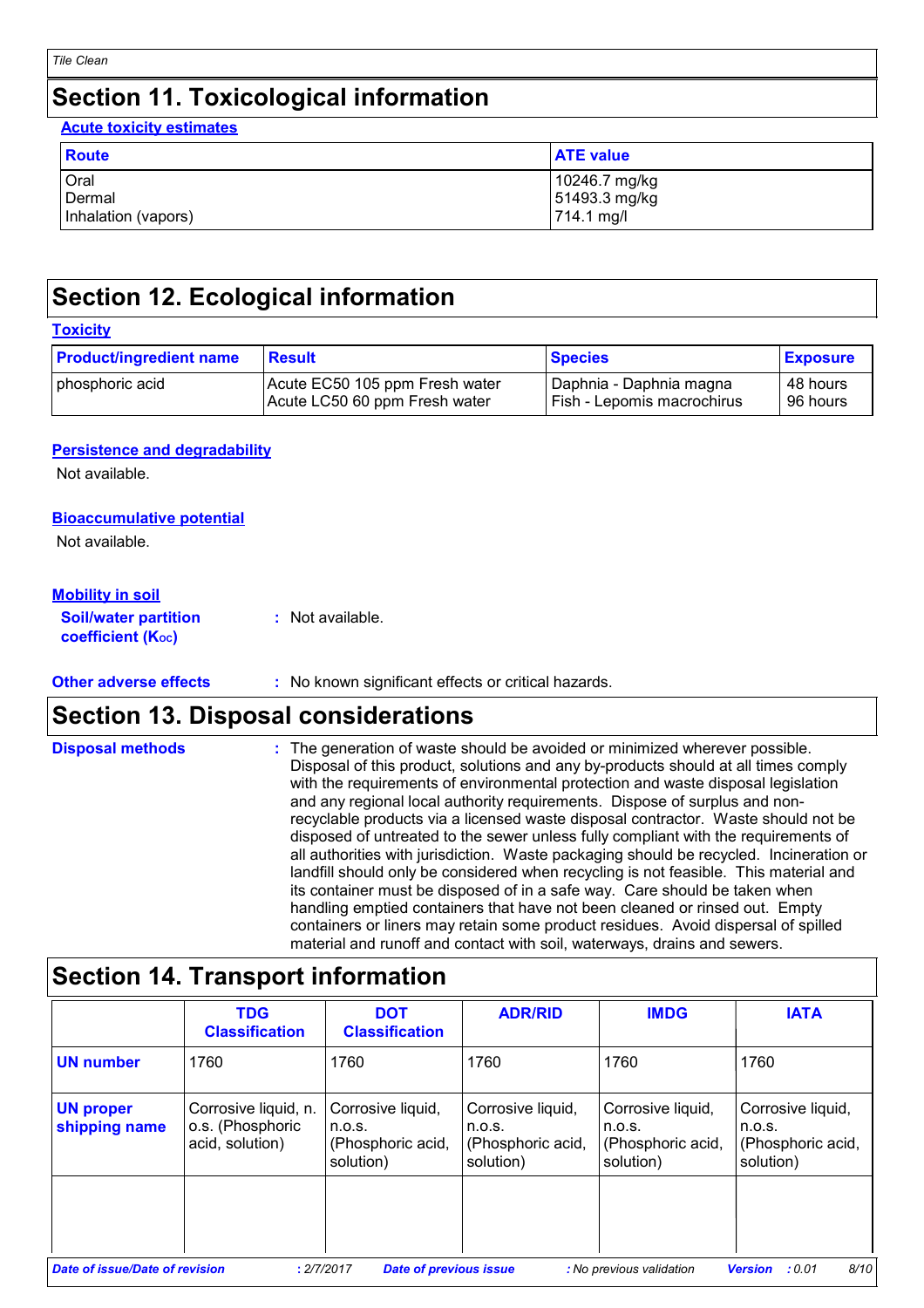### **Section 11. Toxicological information**

**Acute toxicity estimates**

| Route               | <b>ATE value</b> |
|---------------------|------------------|
| Oral                | 10246.7 mg/kg    |
| Dermal              | 51493.3 mg/kg    |
| Inhalation (vapors) | 714.1 mg/l       |

### **Section 12. Ecological information**

| <b>Product/ingredient name</b>                                                     | <b>Result</b> | <b>Species</b>                                        | <b>Exposure</b>      |  |
|------------------------------------------------------------------------------------|---------------|-------------------------------------------------------|----------------------|--|
| Acute EC50 105 ppm Fresh water<br>phosphoric acid<br>Acute LC50 60 ppm Fresh water |               | Daphnia - Daphnia magna<br>Fish - Lepomis macrochirus | 48 hours<br>96 hours |  |

#### **Persistence and degradability**

Not available.

#### **Bioaccumulative potential**

Not available.

#### **Mobility in soil**

| <b>Soil/water partition</b> | : Not available. |
|-----------------------------|------------------|
| <b>coefficient (Koc)</b>    |                  |

#### **Other adverse effects** : No known significant effects or critical hazards.

### **Section 13. Disposal considerations**

| <b>Disposal methods</b> | : The generation of waste should be avoided or minimized wherever possible.<br>Disposal of this product, solutions and any by-products should at all times comply<br>with the requirements of environmental protection and waste disposal legislation<br>and any regional local authority requirements. Dispose of surplus and non-<br>recyclable products via a licensed waste disposal contractor. Waste should not be<br>disposed of untreated to the sewer unless fully compliant with the requirements of<br>all authorities with jurisdiction. Waste packaging should be recycled. Incineration or<br>landfill should only be considered when recycling is not feasible. This material and<br>its container must be disposed of in a safe way. Care should be taken when<br>handling emptied containers that have not been cleaned or rinsed out. Empty<br>containers or liners may retain some product residues. Avoid dispersal of spilled |
|-------------------------|----------------------------------------------------------------------------------------------------------------------------------------------------------------------------------------------------------------------------------------------------------------------------------------------------------------------------------------------------------------------------------------------------------------------------------------------------------------------------------------------------------------------------------------------------------------------------------------------------------------------------------------------------------------------------------------------------------------------------------------------------------------------------------------------------------------------------------------------------------------------------------------------------------------------------------------------------|
|                         | material and runoff and contact with soil, waterways, drains and sewers.                                                                                                                                                                                                                                                                                                                                                                                                                                                                                                                                                                                                                                                                                                                                                                                                                                                                           |

### **Section 14. Transport information**

|                                   | <b>TDG</b><br><b>Classification</b>                         | <b>DOT</b><br><b>Classification</b>                           | <b>ADR/RID</b>                                                | <b>IMDG</b>                                                   | <b>IATA</b>                                                   |
|-----------------------------------|-------------------------------------------------------------|---------------------------------------------------------------|---------------------------------------------------------------|---------------------------------------------------------------|---------------------------------------------------------------|
| <b>UN number</b>                  | 1760                                                        | 1760                                                          | 1760                                                          | 1760                                                          | 1760                                                          |
| <b>UN proper</b><br>shipping name | Corrosive liquid, n.<br>o.s. (Phosphoric<br>acid, solution) | Corrosive liquid,<br>n.o.s.<br>(Phosphoric acid,<br>solution) | Corrosive liquid,<br>n.o.s.<br>(Phosphoric acid,<br>solution) | Corrosive liquid,<br>n.o.s.<br>(Phosphoric acid,<br>solution) | Corrosive liquid,<br>n.o.s.<br>(Phosphoric acid,<br>solution) |
|                                   |                                                             |                                                               |                                                               |                                                               |                                                               |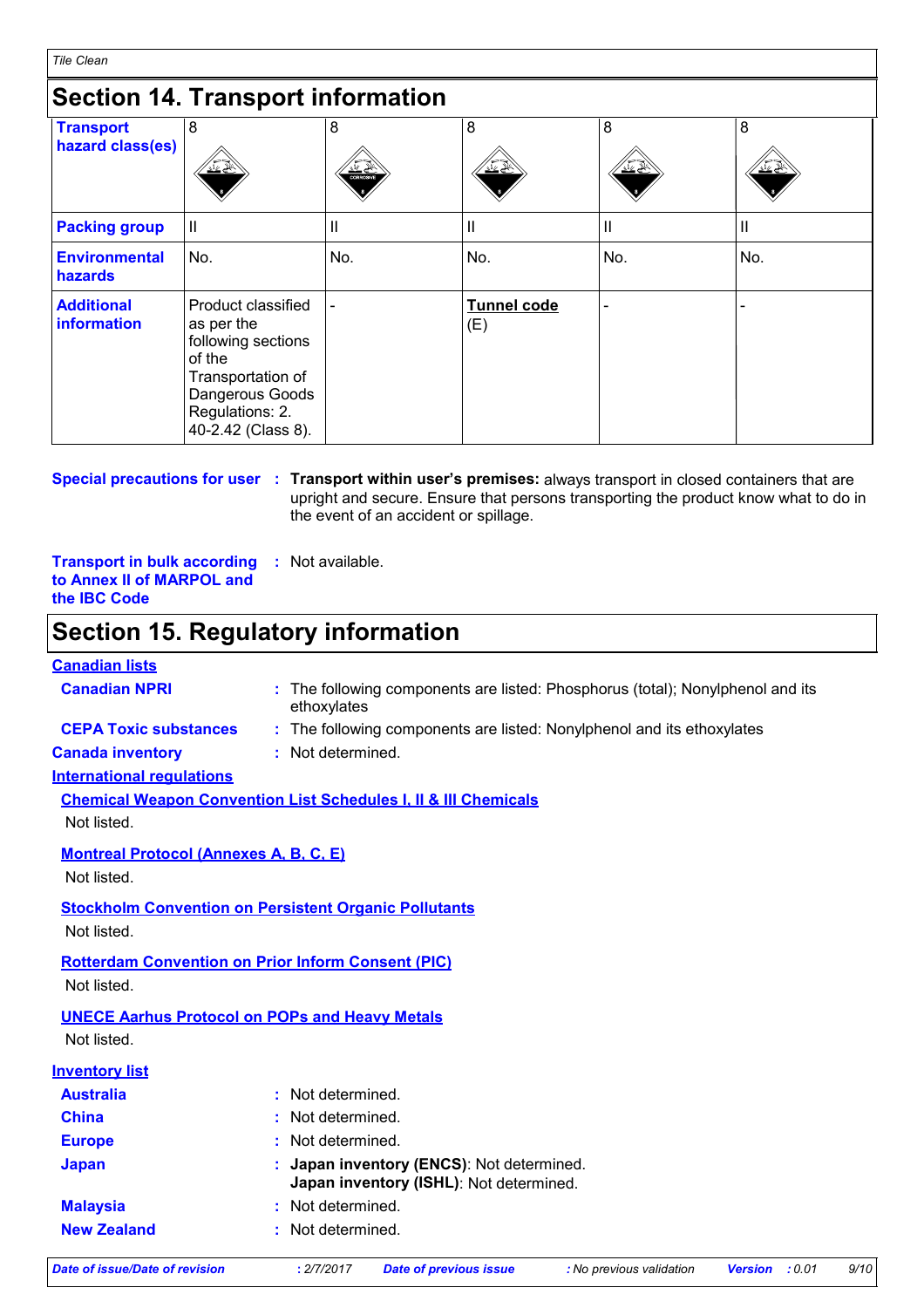### **Section 14. Transport information**

| <b>Transport</b><br>hazard class(es) | 8<br><u>V</u> č                                                                                                                                   | 8<br>亚登<br><b>CORROSWE</b> | 8<br><u>보소</u>            | 8<br>ے ےند | 8<br>گا گا |
|--------------------------------------|---------------------------------------------------------------------------------------------------------------------------------------------------|----------------------------|---------------------------|------------|------------|
| <b>Packing group</b>                 | Ш                                                                                                                                                 | Ш                          | Ш                         | Ш          | Ш          |
| <b>Environmental</b><br>hazards      | No.                                                                                                                                               | No.                        | No.                       | No.        | No.        |
| <b>Additional</b><br>information     | Product classified<br>as per the<br>following sections<br>of the<br>Transportation of<br>Dangerous Goods<br>Regulations: 2.<br>40-2.42 (Class 8). |                            | <b>Tunnel code</b><br>(E) |            |            |

#### **Special precautions for user** : Transport within user's premises: always transport in closed containers that are upright and secure. Ensure that persons transporting the product know what to do in the event of an accident or spillage.

**Transport in bulk according to Annex II of MARPOL and the IBC Code :** Not available.

#### **Section 15. Regulatory information**

#### **Canadian lists**

| <b>Canadian NPRI</b>                          | : The following components are listed: Phosphorus (total); Nonylphenol and its<br>ethoxylates |
|-----------------------------------------------|-----------------------------------------------------------------------------------------------|
| <b>CEPA Toxic substances</b>                  | : The following components are listed: Nonylphenol and its ethoxylates                        |
| <b>Canada inventory</b>                       | : Not determined.                                                                             |
| <b>International regulations</b>              |                                                                                               |
|                                               | <b>Chemical Weapon Convention List Schedules I, II &amp; III Chemicals</b>                    |
| Not listed.                                   |                                                                                               |
| <b>Montreal Protocol (Annexes A, B, C, E)</b> |                                                                                               |
| Not listed.                                   |                                                                                               |
|                                               | <b>Stockholm Convention on Persistent Organic Pollutants</b>                                  |
| Not listed.                                   |                                                                                               |
|                                               | <b>Rotterdam Convention on Prior Inform Consent (PIC)</b>                                     |
| Not listed.                                   |                                                                                               |
|                                               | <b>UNECE Aarhus Protocol on POPs and Heavy Metals</b>                                         |
| Not listed.                                   |                                                                                               |
| <b>Inventory list</b>                         |                                                                                               |
| <b>Australia</b>                              | : Not determined.                                                                             |
| <b>China</b>                                  | : Not determined.                                                                             |
| <b>Europe</b>                                 | : Not determined.                                                                             |
| <b>Japan</b>                                  | : Japan inventory (ENCS): Not determined.<br>Japan inventory (ISHL): Not determined.          |
| <b>Malaysia</b>                               | Not determined.                                                                               |
| <b>New Zealand</b>                            | Not determined.                                                                               |

*Date of issue/Date of revision* **:** *2/7/2017 Date of previous issue : No previous validation Version : 0.01 9/10*